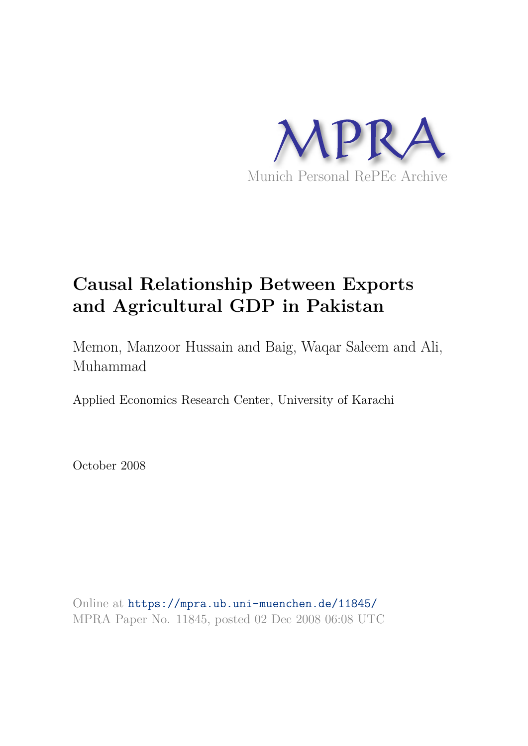

# **Causal Relationship Between Exports and Agricultural GDP in Pakistan**

Memon, Manzoor Hussain and Baig, Waqar Saleem and Ali, Muhammad

Applied Economics Research Center, University of Karachi

October 2008

Online at https://mpra.ub.uni-muenchen.de/11845/ MPRA Paper No. 11845, posted 02 Dec 2008 06:08 UTC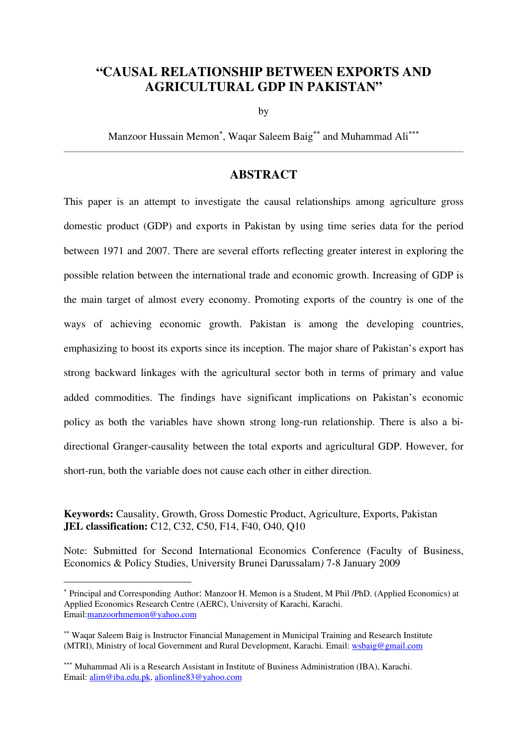# **"CAUSAL RELATIONSHIP BETWEEN EXPORTS AND AGRICULTURAL GDP IN PAKISTAN"**

by

Manzoor Hussain Memon<sup>∗</sup>, Waqar Saleem Baig<sup>∗∗</sup> and Muhammad Ali<sup>∗∗∗</sup>

# **ABSTRACT**

This paper is an attempt to investigate the causal relationships among agriculture gross domestic product (GDP) and exports in Pakistan by using time series data for the period between 1971 and 2007. There are several efforts reflecting greater interest in exploring the possible relation between the international trade and economic growth. Increasing of GDP is the main target of almost every economy. Promoting exports of the country is one of the ways of achieving economic growth. Pakistan is among the developing countries, emphasizing to boost its exports since its inception. The major share of Pakistan's export has strong backward linkages with the agricultural sector both in terms of primary and value added commodities. The findings have significant implications on Pakistan's economic policy as both the variables have shown strong long-run relationship. There is also a bidirectional Granger-causality between the total exports and agricultural GDP. However, for short-run, both the variable does not cause each other in either direction.

**Keywords:** Causality, Growth, Gross Domestic Product, Agriculture, Exports, Pakistan **JEL classification:** C12, C32, C50, F14, F40, O40, Q10

Note: Submitted for Second International Economics Conference (Faculty of Business, Economics & Policy Studies, University Brunei Darussalam*)* 7-8 January 2009

 $\overline{a}$ 

<sup>∗</sup> Principal and Corresponding Author: Manzoor H. Memon is a Student, M Phil /PhD. (Applied Economics) at Applied Economics Research Centre (AERC), University of Karachi, Karachi. Email:manzoorhmemon@yahoo.com

<sup>∗∗</sup> Waqar Saleem Baig is Instructor Financial Management in Municipal Training and Research Institute (MTRI), Ministry of local Government and Rural Development, Karachi. Email: wsbaig@gmail.com

<sup>∗∗∗</sup> Muhammad Ali is a Research Assistant in Institute of Business Administration (IBA), Karachi. Email: alim@iba.edu.pk, alionline83@yahoo.com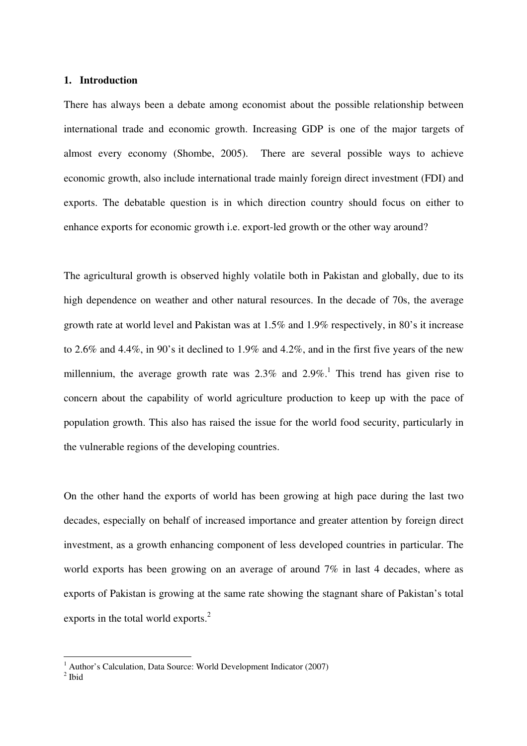#### **1. Introduction**

There has always been a debate among economist about the possible relationship between international trade and economic growth. Increasing GDP is one of the major targets of almost every economy (Shombe, 2005). There are several possible ways to achieve economic growth, also include international trade mainly foreign direct investment (FDI) and exports. The debatable question is in which direction country should focus on either to enhance exports for economic growth i.e. export-led growth or the other way around?

The agricultural growth is observed highly volatile both in Pakistan and globally, due to its high dependence on weather and other natural resources. In the decade of 70s, the average growth rate at world level and Pakistan was at 1.5% and 1.9% respectively, in 80's it increase to 2.6% and 4.4%, in 90's it declined to 1.9% and 4.2%, and in the first five years of the new millennium, the average growth rate was  $2.3\%$  and  $2.9\%$ .<sup>1</sup> This trend has given rise to concern about the capability of world agriculture production to keep up with the pace of population growth. This also has raised the issue for the world food security, particularly in the vulnerable regions of the developing countries.

On the other hand the exports of world has been growing at high pace during the last two decades, especially on behalf of increased importance and greater attention by foreign direct investment, as a growth enhancing component of less developed countries in particular. The world exports has been growing on an average of around 7% in last 4 decades, where as exports of Pakistan is growing at the same rate showing the stagnant share of Pakistan's total exports in the total world exports.<sup>2</sup>

 1 Author's Calculation, Data Source: World Development Indicator (2007)

 $2$  Ibid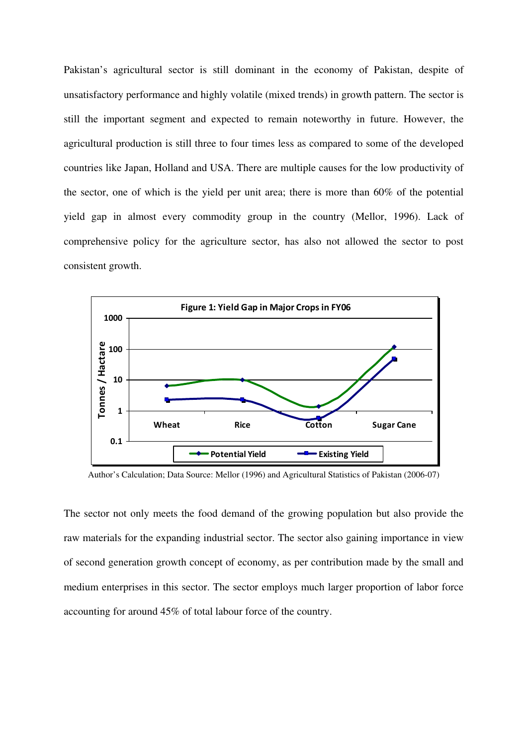Pakistan's agricultural sector is still dominant in the economy of Pakistan, despite of unsatisfactory performance and highly volatile (mixed trends) in growth pattern. The sector is still the important segment and expected to remain noteworthy in future. However, the agricultural production is still three to four times less as compared to some of the developed countries like Japan, Holland and USA. There are multiple causes for the low productivity of the sector, one of which is the yield per unit area; there is more than 60% of the potential yield gap in almost every commodity group in the country (Mellor, 1996). Lack of comprehensive policy for the agriculture sector, has also not allowed the sector to post consistent growth.



Author's Calculation; Data Source: Mellor (1996) and Agricultural Statistics of Pakistan (2006-07)

The sector not only meets the food demand of the growing population but also provide the raw materials for the expanding industrial sector. The sector also gaining importance in view of second generation growth concept of economy, as per contribution made by the small and medium enterprises in this sector. The sector employs much larger proportion of labor force accounting for around 45% of total labour force of the country.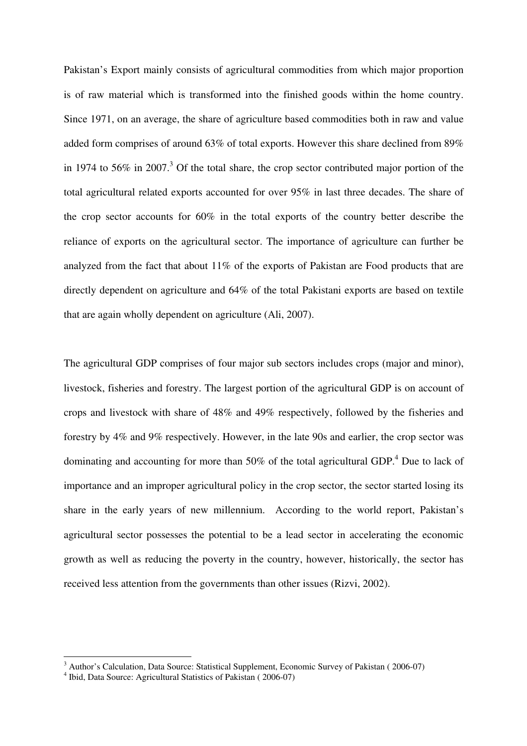Pakistan's Export mainly consists of agricultural commodities from which major proportion is of raw material which is transformed into the finished goods within the home country. Since 1971, on an average, the share of agriculture based commodities both in raw and value added form comprises of around 63% of total exports. However this share declined from 89% in 1974 to 56% in 2007.<sup>3</sup> Of the total share, the crop sector contributed major portion of the total agricultural related exports accounted for over 95% in last three decades. The share of the crop sector accounts for 60% in the total exports of the country better describe the reliance of exports on the agricultural sector. The importance of agriculture can further be analyzed from the fact that about 11% of the exports of Pakistan are Food products that are directly dependent on agriculture and 64% of the total Pakistani exports are based on textile that are again wholly dependent on agriculture (Ali, 2007).

The agricultural GDP comprises of four major sub sectors includes crops (major and minor), livestock, fisheries and forestry. The largest portion of the agricultural GDP is on account of crops and livestock with share of 48% and 49% respectively, followed by the fisheries and forestry by 4% and 9% respectively. However, in the late 90s and earlier, the crop sector was dominating and accounting for more than 50% of the total agricultural GDP.<sup>4</sup> Due to lack of importance and an improper agricultural policy in the crop sector, the sector started losing its share in the early years of new millennium. According to the world report, Pakistan's agricultural sector possesses the potential to be a lead sector in accelerating the economic growth as well as reducing the poverty in the country, however, historically, the sector has received less attention from the governments than other issues (Rizvi, 2002).

<sup>&</sup>lt;sup>3</sup> Author's Calculation, Data Source: Statistical Supplement, Economic Survey of Pakistan (2006-07)

<sup>4</sup> Ibid, Data Source: Agricultural Statistics of Pakistan ( 2006-07)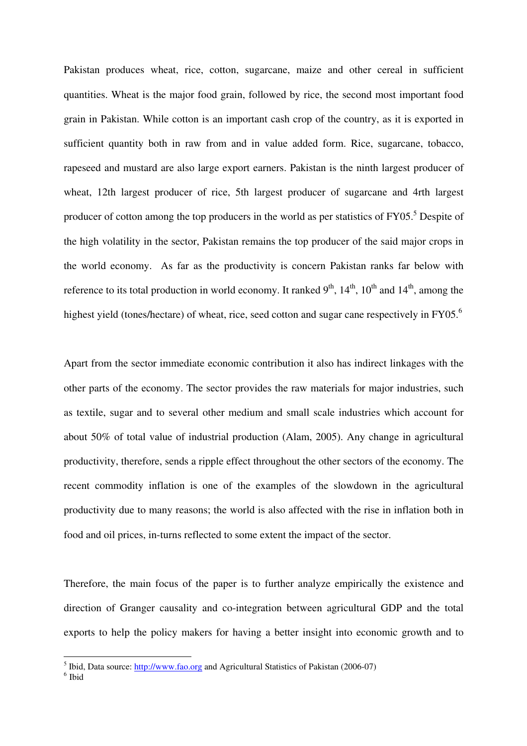Pakistan produces wheat, rice, cotton, sugarcane, maize and other cereal in sufficient quantities. Wheat is the major food grain, followed by rice, the second most important food grain in Pakistan. While cotton is an important cash crop of the country, as it is exported in sufficient quantity both in raw from and in value added form. Rice, sugarcane, tobacco, rapeseed and mustard are also large export earners. Pakistan is the ninth largest producer of wheat, 12th largest producer of rice, 5th largest producer of sugarcane and 4rth largest producer of cotton among the top producers in the world as per statistics of FY05.<sup>5</sup> Despite of the high volatility in the sector, Pakistan remains the top producer of the said major crops in the world economy. As far as the productivity is concern Pakistan ranks far below with reference to its total production in world economy. It ranked  $9<sup>th</sup>$ ,  $14<sup>th</sup>$ ,  $10<sup>th</sup>$  and  $14<sup>th</sup>$ , among the highest yield (tones/hectare) of wheat, rice, seed cotton and sugar cane respectively in FY05.<sup>6</sup>

Apart from the sector immediate economic contribution it also has indirect linkages with the other parts of the economy. The sector provides the raw materials for major industries, such as textile, sugar and to several other medium and small scale industries which account for about 50% of total value of industrial production (Alam, 2005). Any change in agricultural productivity, therefore, sends a ripple effect throughout the other sectors of the economy. The recent commodity inflation is one of the examples of the slowdown in the agricultural productivity due to many reasons; the world is also affected with the rise in inflation both in food and oil prices, in-turns reflected to some extent the impact of the sector.

Therefore, the main focus of the paper is to further analyze empirically the existence and direction of Granger causality and co-integration between agricultural GDP and the total exports to help the policy makers for having a better insight into economic growth and to

<sup>&</sup>lt;sup>5</sup> Ibid, Data source: http://www.fao.org and Agricultural Statistics of Pakistan (2006-07)

<sup>6</sup> Ibid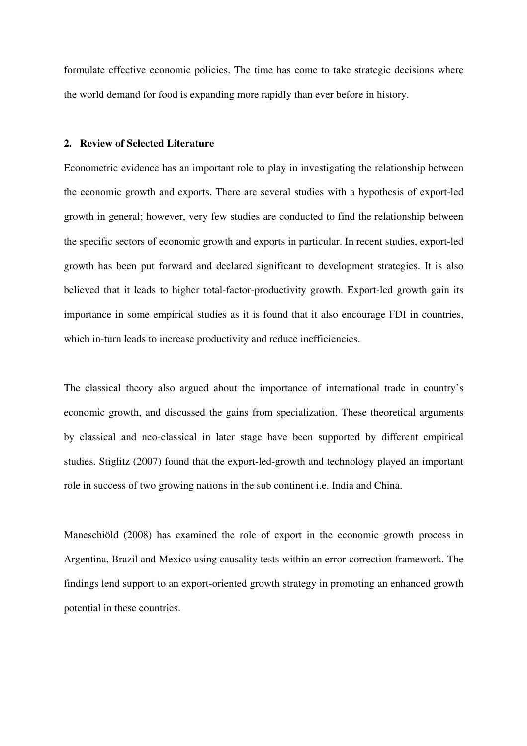formulate effective economic policies. The time has come to take strategic decisions where the world demand for food is expanding more rapidly than ever before in history.

## **2. Review of Selected Literature**

Econometric evidence has an important role to play in investigating the relationship between the economic growth and exports. There are several studies with a hypothesis of export-led growth in general; however, very few studies are conducted to find the relationship between the specific sectors of economic growth and exports in particular. In recent studies, export-led growth has been put forward and declared significant to development strategies. It is also believed that it leads to higher total-factor-productivity growth. Export-led growth gain its importance in some empirical studies as it is found that it also encourage FDI in countries, which in-turn leads to increase productivity and reduce inefficiencies.

The classical theory also argued about the importance of international trade in country's economic growth, and discussed the gains from specialization. These theoretical arguments by classical and neo-classical in later stage have been supported by different empirical studies. Stiglitz (2007) found that the export-led-growth and technology played an important role in success of two growing nations in the sub continent i.e. India and China.

Maneschiöld (2008) has examined the role of export in the economic growth process in Argentina, Brazil and Mexico using causality tests within an error-correction framework. The findings lend support to an export-oriented growth strategy in promoting an enhanced growth potential in these countries.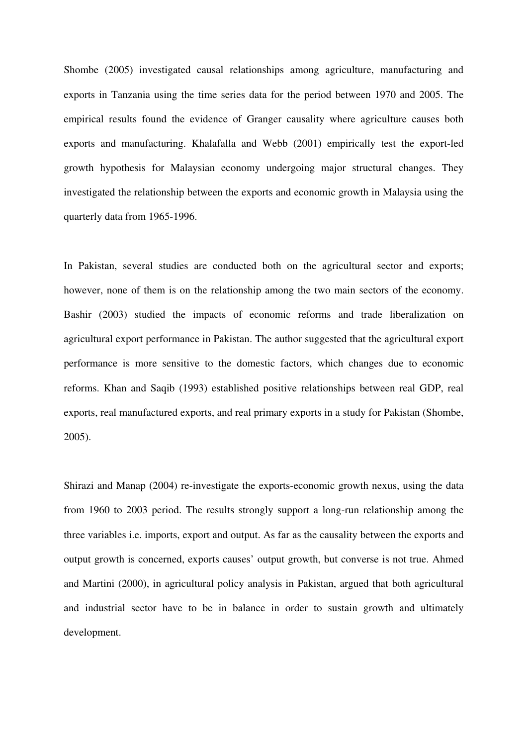Shombe (2005) investigated causal relationships among agriculture, manufacturing and exports in Tanzania using the time series data for the period between 1970 and 2005. The empirical results found the evidence of Granger causality where agriculture causes both exports and manufacturing. Khalafalla and Webb (2001) empirically test the export-led growth hypothesis for Malaysian economy undergoing major structural changes. They investigated the relationship between the exports and economic growth in Malaysia using the quarterly data from 1965-1996.

In Pakistan, several studies are conducted both on the agricultural sector and exports; however, none of them is on the relationship among the two main sectors of the economy. Bashir (2003) studied the impacts of economic reforms and trade liberalization on agricultural export performance in Pakistan. The author suggested that the agricultural export performance is more sensitive to the domestic factors, which changes due to economic reforms. Khan and Saqib (1993) established positive relationships between real GDP, real exports, real manufactured exports, and real primary exports in a study for Pakistan (Shombe, 2005).

Shirazi and Manap (2004) re-investigate the exports-economic growth nexus, using the data from 1960 to 2003 period. The results strongly support a long-run relationship among the three variables i.e. imports, export and output. As far as the causality between the exports and output growth is concerned, exports causes' output growth, but converse is not true. Ahmed and Martini (2000), in agricultural policy analysis in Pakistan, argued that both agricultural and industrial sector have to be in balance in order to sustain growth and ultimately development.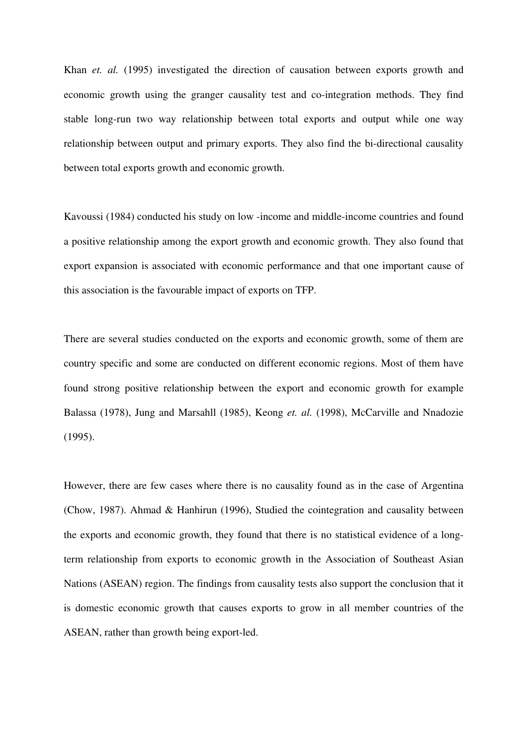Khan *et. al.* (1995) investigated the direction of causation between exports growth and economic growth using the granger causality test and co-integration methods. They find stable long-run two way relationship between total exports and output while one way relationship between output and primary exports. They also find the bi-directional causality between total exports growth and economic growth.

Kavoussi (1984) conducted his study on low -income and middle-income countries and found a positive relationship among the export growth and economic growth. They also found that export expansion is associated with economic performance and that one important cause of this association is the favourable impact of exports on TFP.

There are several studies conducted on the exports and economic growth, some of them are country specific and some are conducted on different economic regions. Most of them have found strong positive relationship between the export and economic growth for example Balassa (1978), Jung and Marsahll (1985), Keong *et. al.* (1998), McCarville and Nnadozie (1995).

However, there are few cases where there is no causality found as in the case of Argentina (Chow, 1987). Ahmad & Hanhirun (1996), Studied the cointegration and causality between the exports and economic growth, they found that there is no statistical evidence of a longterm relationship from exports to economic growth in the Association of Southeast Asian Nations (ASEAN) region. The findings from causality tests also support the conclusion that it is domestic economic growth that causes exports to grow in all member countries of the ASEAN, rather than growth being export-led.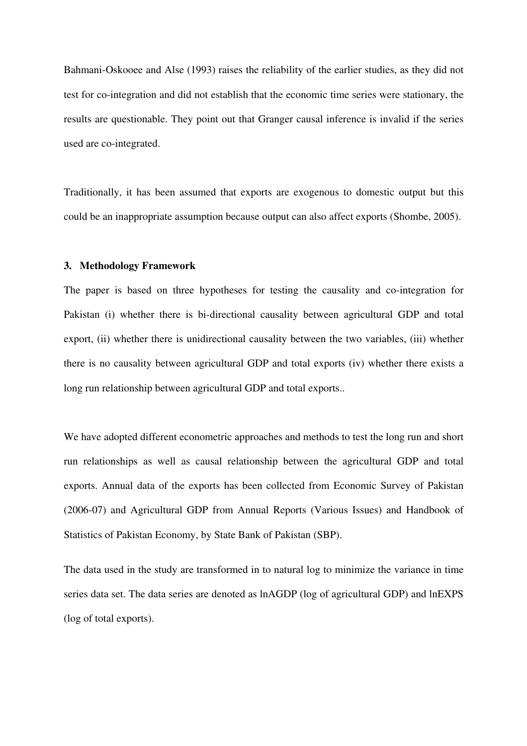Bahmani-Oskooee and Alse (1993) raises the reliability of the earlier studies, as they did not test for co-integration and did not establish that the economic time series were stationary, the results are questionable. They point out that Granger causal inference is invalid if the series used are co-integrated.

Traditionally, it has been assumed that exports are exogenous to domestic output but this could be an inappropriate assumption because output can also affect exports (Shombe, 2005).

### **3. Methodology Framework**

The paper is based on three hypotheses for testing the causality and co-integration for Pakistan (i) whether there is bi-directional causality between agricultural GDP and total export, (ii) whether there is unidirectional causality between the two variables, (iii) whether there is no causality between agricultural GDP and total exports (iv) whether there exists a long run relationship between agricultural GDP and total exports..

We have adopted different econometric approaches and methods to test the long run and short run relationships as well as causal relationship between the agricultural GDP and total exports. Annual data of the exports has been collected from Economic Survey of Pakistan (2006-07) and Agricultural GDP from Annual Reports (Various Issues) and Handbook of Statistics of Pakistan Economy, by State Bank of Pakistan (SBP).

The data used in the study are transformed in to natural log to minimize the variance in time series data set. The data series are denoted as lnAGDP (log of agricultural GDP) and lnEXPS (log of total exports).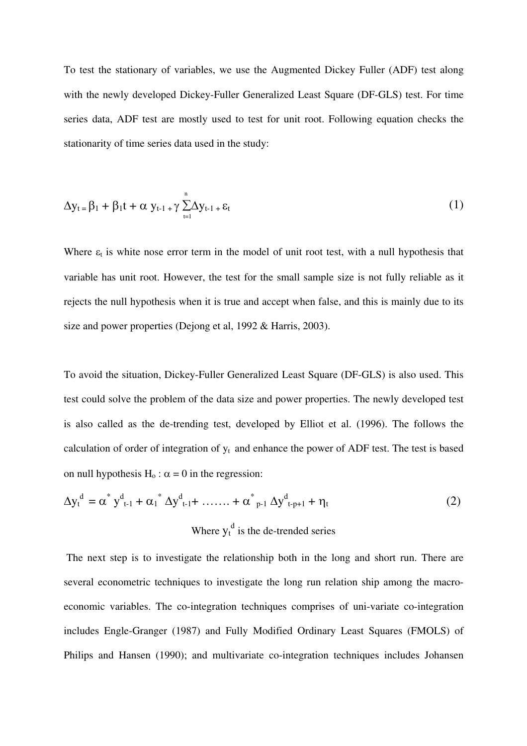To test the stationary of variables, we use the Augmented Dickey Fuller (ADF) test along with the newly developed Dickey-Fuller Generalized Least Square (DF-GLS) test. For time series data, ADF test are mostly used to test for unit root. Following equation checks the stationarity of time series data used in the study:

$$
\Delta y_{t} = \beta_1 + \beta_1 t + \alpha y_{t-1} + \gamma \sum_{t=1}^{n} \Delta y_{t-1} + \varepsilon_t
$$
\n(1)

Where  $\varepsilon_t$  is white nose error term in the model of unit root test, with a null hypothesis that variable has unit root. However, the test for the small sample size is not fully reliable as it rejects the null hypothesis when it is true and accept when false, and this is mainly due to its size and power properties (Dejong et al, 1992 & Harris, 2003).

To avoid the situation, Dickey-Fuller Generalized Least Square (DF-GLS) is also used. This test could solve the problem of the data size and power properties. The newly developed test is also called as the de-trending test, developed by Elliot et al. (1996). The follows the calculation of order of integration of  $y_t$  and enhance the power of ADF test. The test is based on null hypothesis  $H_0$ :  $\alpha = 0$  in the regression:

$$
\Delta y_t^d = \alpha^* y_{t-1}^d + \alpha_1^* \Delta y_{t-1}^d + \dots + \alpha_{p-1}^* \Delta y_{t-p+1}^d + \eta_t
$$
\n(2)\nWhere  $y_t^d$  is the de-trended series

 The next step is to investigate the relationship both in the long and short run. There are several econometric techniques to investigate the long run relation ship among the macroeconomic variables. The co-integration techniques comprises of uni-variate co-integration includes Engle-Granger (1987) and Fully Modified Ordinary Least Squares (FMOLS) of Philips and Hansen (1990); and multivariate co-integration techniques includes Johansen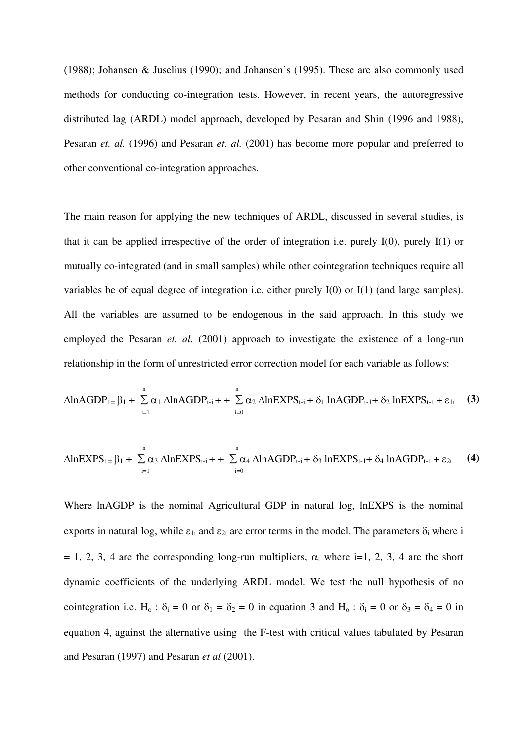(1988); Johansen & Juselius (1990); and Johansen's (1995). These are also commonly used methods for conducting co-integration tests. However, in recent years, the autoregressive distributed lag (ARDL) model approach, developed by Pesaran and Shin (1996 and 1988), Pesaran *et. al.* (1996) and Pesaran *et. al.* (2001) has become more popular and preferred to other conventional co-integration approaches.

The main reason for applying the new techniques of ARDL, discussed in several studies, is that it can be applied irrespective of the order of integration i.e. purely  $I(0)$ , purely  $I(1)$  or mutually co-integrated (and in small samples) while other cointegration techniques require all variables be of equal degree of integration i.e. either purely I(0) or I(1) (and large samples). All the variables are assumed to be endogenous in the said approach. In this study we employed the Pesaran *et. al.* (2001) approach to investigate the existence of a long-run relationship in the form of unrestricted error correction model for each variable as follows:

$$
\Delta \ln A GDP_{t} = \beta_1 + \sum_{i=1}^{n} \alpha_1 \Delta \ln A GDP_{t-i} + \sum_{i=0}^{n} \alpha_2 \Delta \ln EXPS_{t-i} + \delta_1 \ln A GDP_{t-1} + \delta_2 \ln EXPS_{t-1} + \epsilon_{1t} \quad (3)
$$

$$
\Delta lnEXPS_{t} = \beta_1 + \sum_{i=1}^{n} \alpha_3 \Delta lnEXPS_{t-i} + \sum_{i=0}^{n} \alpha_4 \Delta lnAGDP_{t-i} + \delta_3 lnEXPS_{t-1} + \delta_4 lnAGDP_{t-1} + \epsilon_{2t}
$$
 (4)

Where lnAGDP is the nominal Agricultural GDP in natural log, lnEXPS is the nominal exports in natural log, while  $\varepsilon_{1t}$  and  $\varepsilon_{2t}$  are error terms in the model. The parameters  $\delta_i$  where i  $= 1, 2, 3, 4$  are the corresponding long-run multipliers,  $\alpha_i$  where i=1, 2, 3, 4 are the short dynamic coefficients of the underlying ARDL model. We test the null hypothesis of no cointegration i.e. H<sub>0</sub> :  $\delta_i = 0$  or  $\delta_1 = \delta_2 = 0$  in equation 3 and H<sub>0</sub> :  $\delta_i = 0$  or  $\delta_3 = \delta_4 = 0$  in equation 4, against the alternative using the F-test with critical values tabulated by Pesaran and Pesaran (1997) and Pesaran *et al* (2001).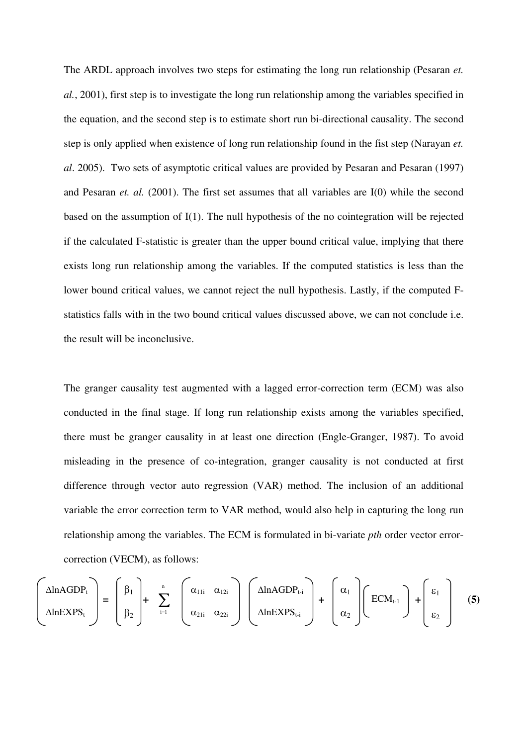The ARDL approach involves two steps for estimating the long run relationship (Pesaran *et. al.*, 2001), first step is to investigate the long run relationship among the variables specified in the equation, and the second step is to estimate short run bi-directional causality. The second step is only applied when existence of long run relationship found in the fist step (Narayan *et. al*. 2005). Two sets of asymptotic critical values are provided by Pesaran and Pesaran (1997) and Pesaran *et. al.* (2001). The first set assumes that all variables are I(0) while the second based on the assumption of I(1). The null hypothesis of the no cointegration will be rejected if the calculated F-statistic is greater than the upper bound critical value, implying that there exists long run relationship among the variables. If the computed statistics is less than the lower bound critical values, we cannot reject the null hypothesis. Lastly, if the computed Fstatistics falls with in the two bound critical values discussed above, we can not conclude i.e. the result will be inconclusive.

The granger causality test augmented with a lagged error-correction term (ECM) was also conducted in the final stage. If long run relationship exists among the variables specified, there must be granger causality in at least one direction (Engle-Granger, 1987). To avoid misleading in the presence of co-integration, granger causality is not conducted at first difference through vector auto regression (VAR) method. The inclusion of an additional variable the error correction term to VAR method, would also help in capturing the long run relationship among the variables. The ECM is formulated in bi-variate *pth* order vector errorcorrection (VECM), as follows:

$$
\begin{pmatrix}\n\Delta \ln \text{AGDP}_{t} \\
\Delta \ln \text{EXPS}_{t}\n\end{pmatrix} = \begin{pmatrix}\n\beta_{1} \\
\beta_{2}\n\end{pmatrix} + \sum_{i=1}^{n} \begin{pmatrix}\n\alpha_{11i} & \alpha_{12i} \\
\alpha_{21i} & \alpha_{22i}\n\end{pmatrix} \begin{pmatrix}\n\Delta \ln \text{AGDP}_{t-i} \\
\Delta \ln \text{EXPS}_{t-i}\n\end{pmatrix} + \begin{pmatrix}\n\alpha_{1} \\
\alpha_{2}\n\end{pmatrix} \begin{pmatrix}\n\text{ECM}_{t-1} \\
\alpha_{2}\n\end{pmatrix} + \begin{pmatrix}\n\epsilon_{1} \\
\epsilon_{2}\n\end{pmatrix}
$$
\n(5)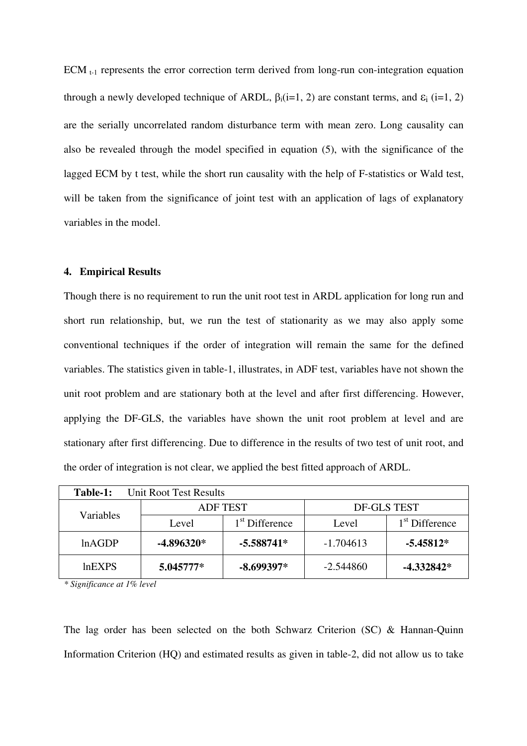ECM  $_{t-1}$  represents the error correction term derived from long-run con-integration equation through a newly developed technique of ARDL,  $\beta_i(i=1, 2)$  are constant terms, and  $\epsilon_i$  (i=1, 2) are the serially uncorrelated random disturbance term with mean zero. Long causality can also be revealed through the model specified in equation (5), with the significance of the lagged ECM by t test, while the short run causality with the help of F-statistics or Wald test, will be taken from the significance of joint test with an application of lags of explanatory variables in the model.

#### **4. Empirical Results**

Though there is no requirement to run the unit root test in ARDL application for long run and short run relationship, but, we run the test of stationarity as we may also apply some conventional techniques if the order of integration will remain the same for the defined variables. The statistics given in table-1, illustrates, in ADF test, variables have not shown the unit root problem and are stationary both at the level and after first differencing. However, applying the DF-GLS, the variables have shown the unit root problem at level and are stationary after first differencing. Due to difference in the results of two test of unit root, and the order of integration is not clear, we applied the best fitted approach of ARDL.

| Unit Root Test Results<br>Table-1: |                 |                            |             |                            |
|------------------------------------|-----------------|----------------------------|-------------|----------------------------|
| Variables                          | <b>ADF TEST</b> |                            | DF-GLS TEST |                            |
|                                    | Level           | 1 <sup>st</sup> Difference | Level       | 1 <sup>st</sup> Difference |
| lnAGDP                             | $-4.896320*$    | $-5.588741*$               |             | $-5.45812*$                |
| $ln$ EXPS                          | 5.045777*       | $-8.699397*$               | $-2.544860$ | -4.332842*                 |

*\* Significance at 1% level* 

The lag order has been selected on the both Schwarz Criterion (SC) & Hannan-Quinn Information Criterion (HQ) and estimated results as given in table-2, did not allow us to take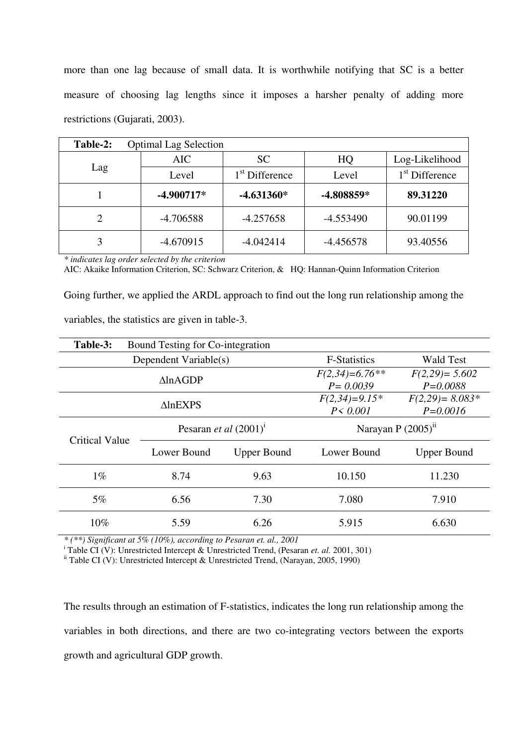more than one lag because of small data. It is worthwhile notifying that SC is a better measure of choosing lag lengths since it imposes a harsher penalty of adding more restrictions (Gujarati, 2003).

| Table-2: | <b>Optimal Lag Selection</b> |                            |             |                            |
|----------|------------------------------|----------------------------|-------------|----------------------------|
| Lag      | <b>AIC</b>                   | <b>SC</b>                  | HQ          | Log-Likelihood             |
|          | Level                        | 1 <sup>st</sup> Difference | Level       | 1 <sup>st</sup> Difference |
|          | $-4.900717*$                 | $-4.631360*$               | -4.808859*  | 89.31220                   |
|          | $-4.706588$                  | $-4.257658$                | $-4.553490$ | 90.01199                   |
| 3        | $-4.670915$                  | $-4.042414$                | $-4.456578$ | 93.40556                   |

*\* indicates lag order selected by the criterion* 

AIC: Akaike Information Criterion, SC: Schwarz Criterion, & HQ: Hannan-Quinn Information Criterion

Going further, we applied the ARDL approach to find out the long run relationship among the

variables, the statistics are given in table-3.

| Table-3:<br>Bound Testing for Co-integration |                                 |                    |                                  |                                    |
|----------------------------------------------|---------------------------------|--------------------|----------------------------------|------------------------------------|
| Dependent Variable(s)                        |                                 |                    | <b>F-Statistics</b>              | <b>Wald Test</b>                   |
| $\triangle$ lnAGDP                           |                                 |                    | $F(2,34)=6.76**$<br>$P = 0.0039$ | $F(2,29) = 5.602$<br>$P = 0.0088$  |
| $\triangle$ lnEXPS                           |                                 |                    | $F(2,34)=9.15*$<br>$P \le 0.001$ | $F(2,29) = 8.083*$<br>$P = 0.0016$ |
| <b>Critical Value</b>                        | Pesaran <i>et al</i> $(2001)^1$ |                    | Narayan P $(2005)^n$             |                                    |
|                                              | Lower Bound                     | <b>Upper Bound</b> | Lower Bound                      | <b>Upper Bound</b>                 |
| $1\%$                                        | 8.74                            | 9.63               | 10.150                           | 11.230                             |
| $5\%$                                        | 6.56                            | 7.30               | 7.080                            | 7.910                              |
| $10\%$                                       | 5.59                            | 6.26               | 5.915                            | 6.630                              |

*\* (\*\*) Significant at 5% (10%), according to Pesaran et. al., 2001* 

<sup>i</sup> Table CI (V): Unrestricted Intercept & Unrestricted Trend, (Pesaran *et. al.* 2001, 301)

if Table CI (V): Unrestricted Intercept & Unrestricted Trend, (Narayan, 2005, 1990)

The results through an estimation of F-statistics, indicates the long run relationship among the variables in both directions, and there are two co-integrating vectors between the exports growth and agricultural GDP growth.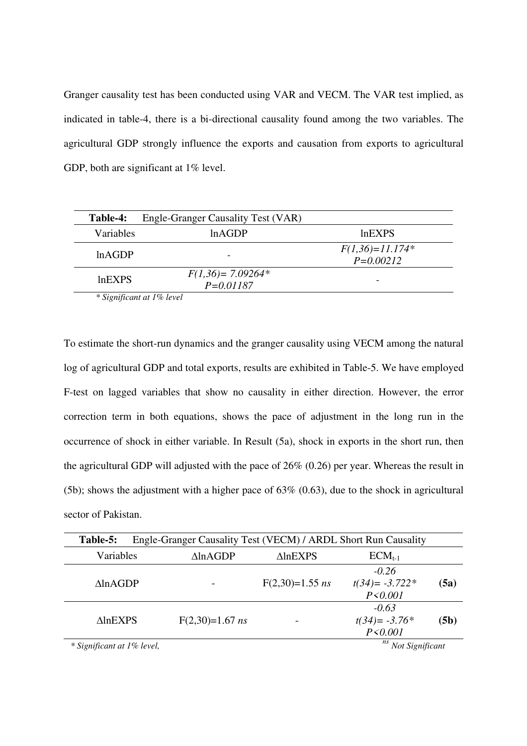Granger causality test has been conducted using VAR and VECM. The VAR test implied, as indicated in table-4, there is a bi-directional causality found among the two variables. The agricultural GDP strongly influence the exports and causation from exports to agricultural GDP, both are significant at 1% level.

| <b>Table-4:</b>                           | Engle-Granger Causality Test (VAR)  |                                    |
|-------------------------------------------|-------------------------------------|------------------------------------|
| <b>Variables</b>                          | lnAGDP                              | <b>lnEXPS</b>                      |
| lnAGDP                                    |                                     | $F(1,36)=11.174*$<br>$P = 0.00212$ |
| ln <sub>EXPS</sub>                        | $F(1,36)=7.09264*$<br>$P = 0.01187$ |                                    |
| $\sim$ $\sim$ $\sim$ $\sim$ $\sim$ $\sim$ |                                     |                                    |

*\* Significant at 1% level* 

To estimate the short-run dynamics and the granger causality using VECM among the natural log of agricultural GDP and total exports, results are exhibited in Table-5. We have employed F-test on lagged variables that show no causality in either direction. However, the error correction term in both equations, shows the pace of adjustment in the long run in the occurrence of shock in either variable. In Result (5a), shock in exports in the short run, then the agricultural GDP will adjusted with the pace of 26% (0.26) per year. Whereas the result in (5b); shows the adjustment with a higher pace of  $63\%$  (0.63), due to the shock in agricultural sector of Pakistan.

| Table-5:                       |  | Engle-Granger Causality Test (VECM) / ARDL Short Run Causality |                    |                                           |      |
|--------------------------------|--|----------------------------------------------------------------|--------------------|-------------------------------------------|------|
| Variables                      |  | $\triangle$ lnAGDP                                             | $\triangle$ lnEXPS | $ECM_{t-1}$                               |      |
| $\triangle$ ln $\triangle$ GDP |  |                                                                | $F(2,30)=1.55$ ns  | $-0.26$<br>$t(34) = -3.722*$<br>P < 0.001 | (5a) |
| <b>AlnEXPS</b>                 |  | $F(2,30)=1.67$ ns                                              |                    | $-0.63$<br>$t(34) = -3.76*$<br>P < 0.001  | (5b) |
| * Significant at 1% level,     |  |                                                                |                    | ns<br>Not Significant                     |      |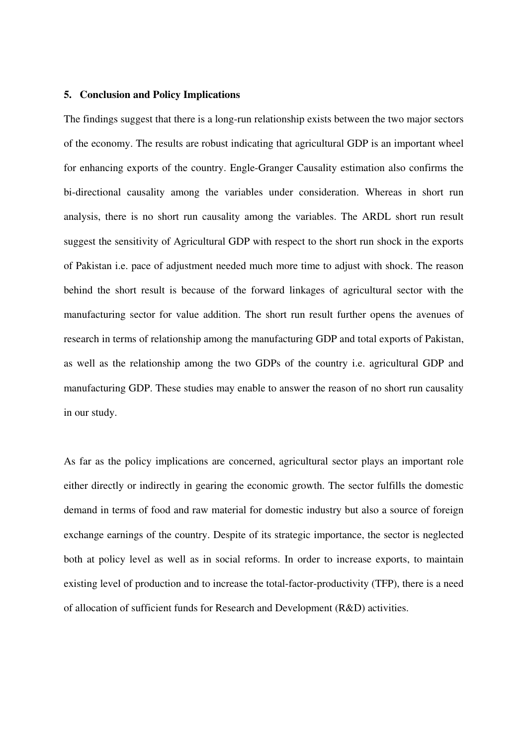### **5. Conclusion and Policy Implications**

The findings suggest that there is a long-run relationship exists between the two major sectors of the economy. The results are robust indicating that agricultural GDP is an important wheel for enhancing exports of the country. Engle-Granger Causality estimation also confirms the bi-directional causality among the variables under consideration. Whereas in short run analysis, there is no short run causality among the variables. The ARDL short run result suggest the sensitivity of Agricultural GDP with respect to the short run shock in the exports of Pakistan i.e. pace of adjustment needed much more time to adjust with shock. The reason behind the short result is because of the forward linkages of agricultural sector with the manufacturing sector for value addition. The short run result further opens the avenues of research in terms of relationship among the manufacturing GDP and total exports of Pakistan, as well as the relationship among the two GDPs of the country i.e. agricultural GDP and manufacturing GDP. These studies may enable to answer the reason of no short run causality in our study.

As far as the policy implications are concerned, agricultural sector plays an important role either directly or indirectly in gearing the economic growth. The sector fulfills the domestic demand in terms of food and raw material for domestic industry but also a source of foreign exchange earnings of the country. Despite of its strategic importance, the sector is neglected both at policy level as well as in social reforms. In order to increase exports, to maintain existing level of production and to increase the total-factor-productivity (TFP), there is a need of allocation of sufficient funds for Research and Development (R&D) activities.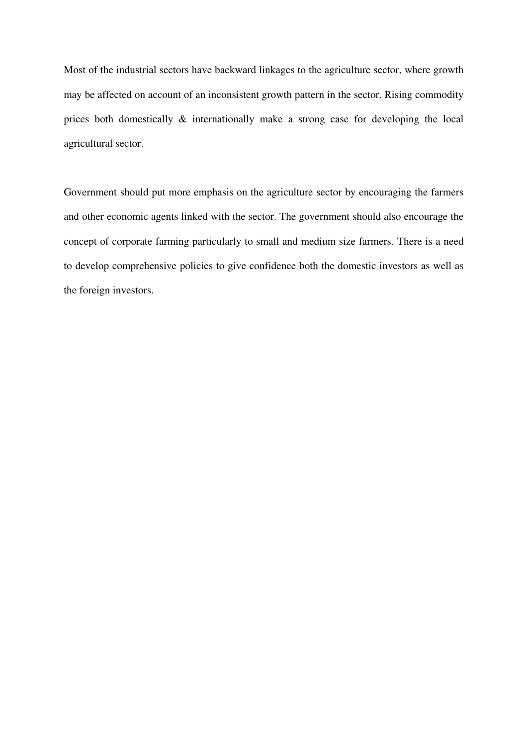Most of the industrial sectors have backward linkages to the agriculture sector, where growth may be affected on account of an inconsistent growth pattern in the sector. Rising commodity prices both domestically & internationally make a strong case for developing the local agricultural sector.

Government should put more emphasis on the agriculture sector by encouraging the farmers and other economic agents linked with the sector. The government should also encourage the concept of corporate farming particularly to small and medium size farmers. There is a need to develop comprehensive policies to give confidence both the domestic investors as well as the foreign investors.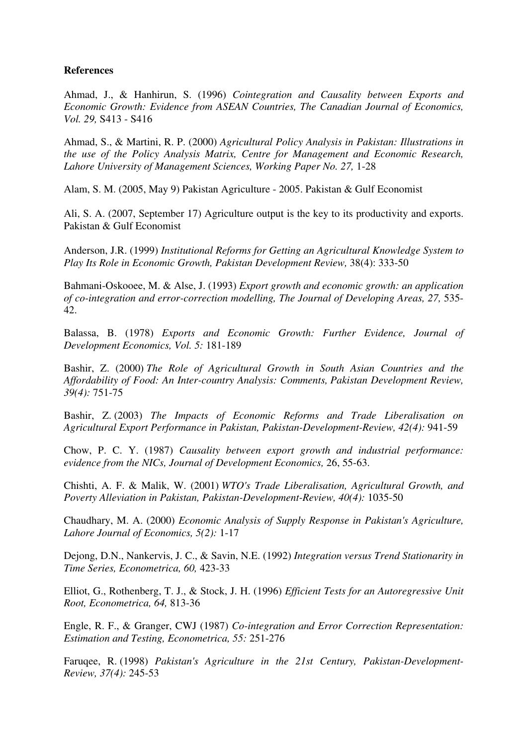# **References**

Ahmad, J., & Hanhirun, S. (1996) *Cointegration and Causality between Exports and Economic Growth: Evidence from ASEAN Countries, The Canadian Journal of Economics, Vol. 29,* S413 - S416

Ahmad, S., & Martini, R. P. (2000) *Agricultural Policy Analysis in Pakistan: Illustrations in the use of the Policy Analysis Matrix, Centre for Management and Economic Research,*  Lahore University of Management Sciences, Working Paper No. 27, 1-28

Alam, S. M. (2005, May 9) Pakistan Agriculture - 2005. Pakistan & Gulf Economist

Ali, S. A. (2007, September 17) Agriculture output is the key to its productivity and exports. Pakistan & Gulf Economist

Anderson, J.R. (1999) *Institutional Reforms for Getting an Agricultural Knowledge System to Play Its Role in Economic Growth, Pakistan Development Review,* 38(4): 333-50

Bahmani-Oskooee, M. & Alse, J. (1993) *Export growth and economic growth: an application of co-integration and error-correction modelling, The Journal of Developing Areas, 27,* 535- 42.

Balassa, B. (1978) *Exports and Economic Growth: Further Evidence, Journal of Development Economics, Vol. 5:* 181-189

Bashir, Z. (2000) *The Role of Agricultural Growth in South Asian Countries and the Affordability of Food: An Inter-country Analysis: Comments, Pakistan Development Review, 39(4):* 751-75

Bashir, Z. (2003) *The Impacts of Economic Reforms and Trade Liberalisation on Agricultural Export Performance in Pakistan, Pakistan-Development-Review, 42(4):* 941-59

Chow, P. C. Y. (1987) *Causality between export growth and industrial performance: evidence from the NICs, Journal of Development Economics,* 26, 55-63.

Chishti, A. F. & Malik, W. (2001) *WTO's Trade Liberalisation, Agricultural Growth, and Poverty Alleviation in Pakistan, Pakistan-Development-Review, 40(4):* 1035-50

Chaudhary, M. A. (2000) *Economic Analysis of Supply Response in Pakistan's Agriculture, Lahore Journal of Economics, 5(2):* 1-17

Dejong, D.N., Nankervis, J. C., & Savin, N.E. (1992) *Integration versus Trend Stationarity in Time Series, Econometrica, 60,* 423-33

Elliot, G., Rothenberg, T. J., & Stock, J. H. (1996) *Efficient Tests for an Autoregressive Unit Root, Econometrica, 64,* 813-36

Engle, R. F., & Granger, CWJ (1987) *Co-integration and Error Correction Representation: Estimation and Testing, Econometrica, 55:* 251-276

Faruqee, R. (1998) *Pakistan's Agriculture in the 21st Century, Pakistan-Development-Review, 37(4):* 245-53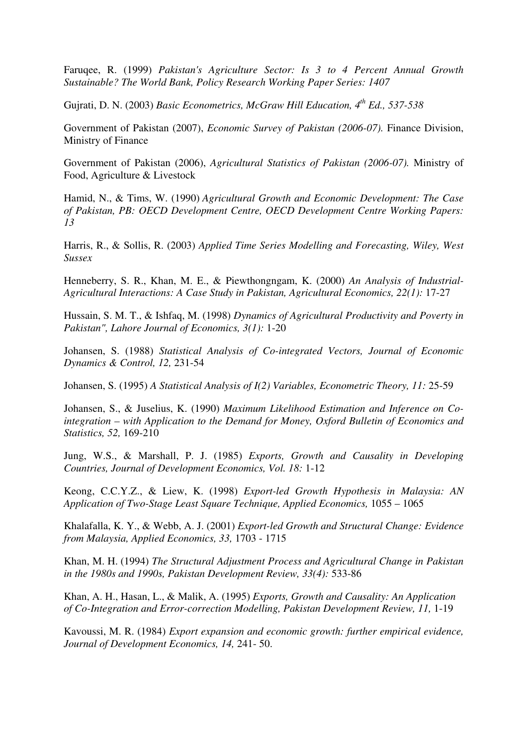Faruqee, R. (1999) *Pakistan's Agriculture Sector: Is 3 to 4 Percent Annual Growth Sustainable? The World Bank, Policy Research Working Paper Series: 1407*

Gujrati, D. N. (2003) *Basic Econometrics, McGraw Hill Education, 4th Ed., 537-538* 

Government of Pakistan (2007), *Economic Survey of Pakistan (2006-07).* Finance Division, Ministry of Finance

Government of Pakistan (2006), *Agricultural Statistics of Pakistan (2006-07).* Ministry of Food, Agriculture & Livestock

Hamid, N., & Tims, W. (1990) *Agricultural Growth and Economic Development: The Case of Pakistan, PB: OECD Development Centre, OECD Development Centre Working Papers: 13*

Harris, R., & Sollis, R. (2003) *Applied Time Series Modelling and Forecasting, Wiley, West Sussex*

Henneberry, S. R., Khan, M. E., & Piewthongngam, K. (2000) *An Analysis of Industrial-Agricultural Interactions: A Case Study in Pakistan, Agricultural Economics, 22(1):* 17-27

Hussain, S. M. T., & Ishfaq, M. (1998) *Dynamics of Agricultural Productivity and Poverty in Pakistan", Lahore Journal of Economics, 3(1):* 1-20

Johansen, S. (1988) *Statistical Analysis of Co-integrated Vectors, Journal of Economic Dynamics & Control, 12,* 231-54

Johansen, S. (1995) *A Statistical Analysis of I(2) Variables, Econometric Theory, 11:* 25-59

Johansen, S., & Juselius, K. (1990) *Maximum Likelihood Estimation and Inference on Cointegration – with Application to the Demand for Money, Oxford Bulletin of Economics and Statistics, 52,* 169-210

Jung, W.S., & Marshall, P. J. (1985) *Exports, Growth and Causality in Developing Countries, Journal of Development Economics, Vol. 18:* 1-12

Keong, C.C.Y.Z., & Liew, K. (1998) *Export-led Growth Hypothesis in Malaysia: AN Application of Two-Stage Least Square Technique, Applied Economics,* 1055 – 1065

Khalafalla, K. Y., & Webb, A. J. (2001) *Export-led Growth and Structural Change: Evidence from Malaysia, Applied Economics, 33,* 1703 - 1715

Khan, M. H. (1994) *The Structural Adjustment Process and Agricultural Change in Pakistan in the 1980s and 1990s, Pakistan Development Review, 33(4):* 533-86

Khan, A. H., Hasan, L., & Malik, A. (1995) *Exports, Growth and Causality: An Application of Co-Integration and Error-correction Modelling, Pakistan Development Review, 11,* 1-19

Kavoussi, M. R. (1984) *Export expansion and economic growth: further empirical evidence, Journal of Development Economics, 14,* 241- 50.